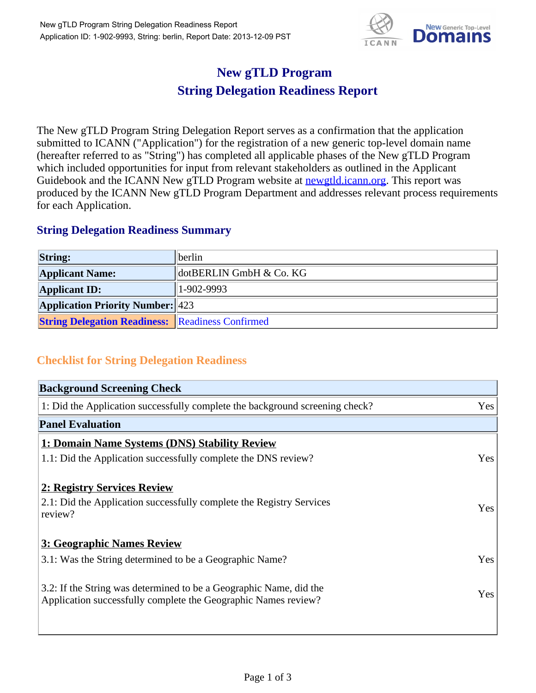

## **New gTLD Program String Delegation Readiness Report**

The New gTLD Program String Delegation Report serves as a confirmation that the application submitted to ICANN ("Application") for the registration of a new generic top-level domain name (hereafter referred to as "String") has completed all applicable phases of the New gTLD Program which included opportunities for input from relevant stakeholders as outlined in the Applicant Guidebook and the ICANN New gTLD Program website at **newgtld.jcann.org**. This report was produced by the ICANN New gTLD Program Department and addresses relevant process requirements for each Application.

## **String Delegation Readiness Summary**

| <b>String:</b>                                          | <i>berlin</i>           |
|---------------------------------------------------------|-------------------------|
| <b>Applicant Name:</b>                                  | dotBERLIN GmbH & Co. KG |
| <b>Applicant ID:</b>                                    | $ 1 - 902 - 9993 $      |
| <b>Application Priority Number: 423</b>                 |                         |
| <b>String Delegation Readiness: Readiness Confirmed</b> |                         |

## **Checklist for String Delegation Readiness**

| <b>Background Screening Check</b>                                                                                                    |     |
|--------------------------------------------------------------------------------------------------------------------------------------|-----|
| 1: Did the Application successfully complete the background screening check?                                                         | Yes |
| <b>Panel Evaluation</b>                                                                                                              |     |
| 1: Domain Name Systems (DNS) Stability Review                                                                                        |     |
| 1.1: Did the Application successfully complete the DNS review?                                                                       | Yes |
| 2: Registry Services Review<br>2.1: Did the Application successfully complete the Registry Services<br>review?                       | Yes |
| 3: Geographic Names Review                                                                                                           |     |
| 3.1: Was the String determined to be a Geographic Name?                                                                              | Yes |
| 3.2: If the String was determined to be a Geographic Name, did the<br>Application successfully complete the Geographic Names review? | Yes |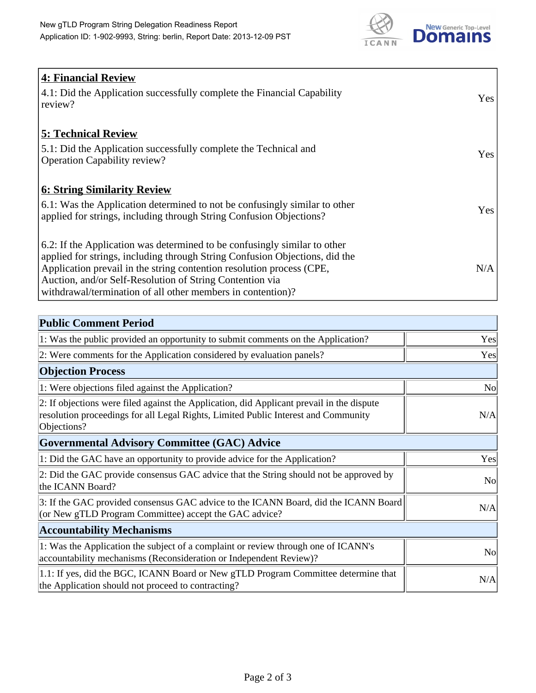

| <b>4: Financial Review</b>                                                                                                                                                                                                        |            |
|-----------------------------------------------------------------------------------------------------------------------------------------------------------------------------------------------------------------------------------|------------|
| 4.1: Did the Application successfully complete the Financial Capability<br>review?                                                                                                                                                | <b>Yes</b> |
| <b>5: Technical Review</b>                                                                                                                                                                                                        |            |
| 5.1: Did the Application successfully complete the Technical and<br><b>Operation Capability review?</b>                                                                                                                           | <b>Yes</b> |
| <b>6: String Similarity Review</b>                                                                                                                                                                                                |            |
| 6.1: Was the Application determined to not be confusingly similar to other<br>applied for strings, including through String Confusion Objections?                                                                                 | Yes        |
| 6.2: If the Application was determined to be confusingly similar to other<br>applied for strings, including through String Confusion Objections, did the<br>Application prevail in the string contention resolution process (CPE, | N/A        |
| Auction, and/or Self-Resolution of String Contention via<br>withdrawal/termination of all other members in contention)?                                                                                                           |            |
|                                                                                                                                                                                                                                   |            |

| <b>Public Comment Period</b>                                                                                                                                                                   |           |
|------------------------------------------------------------------------------------------------------------------------------------------------------------------------------------------------|-----------|
| 1: Was the public provided an opportunity to submit comments on the Application?                                                                                                               | Yes       |
| 2: Were comments for the Application considered by evaluation panels?                                                                                                                          | Yes       |
| <b>Objection Process</b>                                                                                                                                                                       |           |
| 1: Were objections filed against the Application?                                                                                                                                              | <b>No</b> |
| 2: If objections were filed against the Application, did Applicant prevail in the dispute<br>resolution proceedings for all Legal Rights, Limited Public Interest and Community<br>Objections? | N/A       |
| <b>Governmental Advisory Committee (GAC) Advice</b>                                                                                                                                            |           |
| 1: Did the GAC have an opportunity to provide advice for the Application?                                                                                                                      | Yes       |
| 2: Did the GAC provide consensus GAC advice that the String should not be approved by<br>the ICANN Board?                                                                                      | <b>No</b> |
| 3: If the GAC provided consensus GAC advice to the ICANN Board, did the ICANN Board<br>(or New gTLD Program Committee) accept the GAC advice?                                                  | N/A       |
| <b>Accountability Mechanisms</b>                                                                                                                                                               |           |
| 1: Was the Application the subject of a complaint or review through one of ICANN's<br>accountability mechanisms (Reconsideration or Independent Review)?                                       | <b>No</b> |
| 1.1: If yes, did the BGC, ICANN Board or New gTLD Program Committee determine that<br>the Application should not proceed to contracting?                                                       | N/A       |